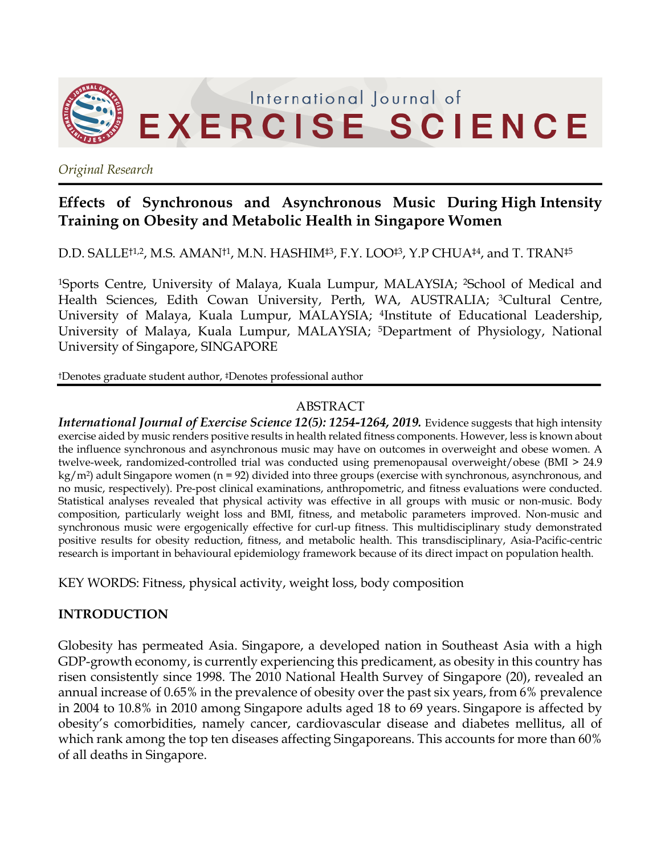

*Original Research*

## **Effects of Synchronous and Asynchronous Music During High Intensity Training on Obesity and Metabolic Health in Singapore Women**

D.D. SALLE<sup>†1,2</sup>, M.S. AMAN<sup>†1</sup>, M.N. HASHIM<sup>‡3</sup>, F.Y. LOO<sup>‡3</sup>, Y.P CHUA<sup>‡4</sup>, and T. TRAN<sup>‡5</sup>

1Sports Centre, University of Malaya, Kuala Lumpur, MALAYSIA; 2School of Medical and Health Sciences, Edith Cowan University, Perth, WA, AUSTRALIA; <sup>3</sup>Cultural Centre, University of Malaya, Kuala Lumpur, MALAYSIA; 4Institute of Educational Leadership, University of Malaya, Kuala Lumpur, MALAYSIA; 5Department of Physiology, National University of Singapore, SINGAPORE

†Denotes graduate student author, ‡Denotes professional author

## ABSTRACT

*International Journal of Exercise Science 12(5): 1254-1264, 2019.* Evidence suggests that high intensity exercise aided by music renders positive results in health related fitness components. However, less is known about the influence synchronous and asynchronous music may have on outcomes in overweight and obese women. A twelve-week, randomized-controlled trial was conducted using premenopausal overweight/obese (BMI > 24.9  $kg/m<sup>2</sup>$ ) adult Singapore women (n = 92) divided into three groups (exercise with synchronous, asynchronous, and no music, respectively). Pre-post clinical examinations, anthropometric, and fitness evaluations were conducted. Statistical analyses revealed that physical activity was effective in all groups with music or non-music. Body composition, particularly weight loss and BMI, fitness, and metabolic parameters improved. Non-music and synchronous music were ergogenically effective for curl-up fitness. This multidisciplinary study demonstrated positive results for obesity reduction, fitness, and metabolic health. This transdisciplinary, Asia-Pacific-centric research is important in behavioural epidemiology framework because of its direct impact on population health.

KEY WORDS: Fitness, physical activity, weight loss, body composition

## **INTRODUCTION**

Globesity has permeated Asia. Singapore, a developed nation in Southeast Asia with a high GDP-growth economy, is currently experiencing this predicament, as obesity in this country has risen consistently since 1998. The 2010 National Health Survey of Singapore (20), revealed an annual increase of 0.65% in the prevalence of obesity over the past six years, from 6% prevalence in 2004 to 10.8% in 2010 among Singapore adults aged 18 to 69 years. Singapore is affected by obesity's comorbidities, namely cancer, cardiovascular disease and diabetes mellitus, all of which rank among the top ten diseases affecting Singaporeans. This accounts for more than 60% of all deaths in Singapore.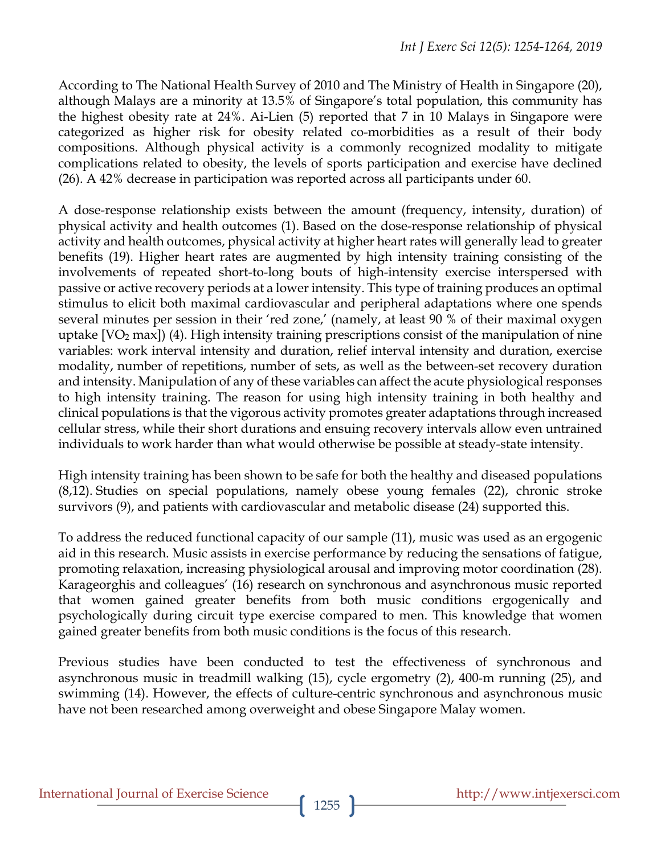According to The National Health Survey of 2010 and The Ministry of Health in Singapore (20), although Malays are a minority at 13.5% of Singapore's total population, this community has the highest obesity rate at 24%. Ai-Lien (5) reported that 7 in 10 Malays in Singapore were categorized as higher risk for obesity related co-morbidities as a result of their body compositions. Although physical activity is a commonly recognized modality to mitigate complications related to obesity, the levels of sports participation and exercise have declined (26). A 42% decrease in participation was reported across all participants under 60.

A dose-response relationship exists between the amount (frequency, intensity, duration) of physical activity and health outcomes (1). Based on the dose-response relationship of physical activity and health outcomes, physical activity at higher heart rates will generally lead to greater benefits (19). Higher heart rates are augmented by high intensity training consisting of the involvements of repeated short-to-long bouts of high-intensity exercise interspersed with passive or active recovery periods at a lower intensity. This type of training produces an optimal stimulus to elicit both maximal cardiovascular and peripheral adaptations where one spends several minutes per session in their 'red zone,' (namely, at least 90 % of their maximal oxygen uptake  $[VO<sub>2</sub> max]$ ) (4). High intensity training prescriptions consist of the manipulation of nine variables: work interval intensity and duration, relief interval intensity and duration, exercise modality, number of repetitions, number of sets, as well as the between-set recovery duration and intensity. Manipulation of any of these variables can affect the acute physiological responses to high intensity training. The reason for using high intensity training in both healthy and clinical populations is that the vigorous activity promotes greater adaptations through increased cellular stress, while their short durations and ensuing recovery intervals allow even untrained individuals to work harder than what would otherwise be possible at steady-state intensity.

High intensity training has been shown to be safe for both the healthy and diseased populations (8,12). Studies on special populations, namely obese young females (22), chronic stroke survivors (9), and patients with cardiovascular and metabolic disease (24) supported this.

To address the reduced functional capacity of our sample (11), music was used as an ergogenic aid in this research. Music assists in exercise performance by reducing the sensations of fatigue, promoting relaxation, increasing physiological arousal and improving motor coordination (28). Karageorghis and colleagues' (16) research on synchronous and asynchronous music reported that women gained greater benefits from both music conditions ergogenically and psychologically during circuit type exercise compared to men. This knowledge that women gained greater benefits from both music conditions is the focus of this research.

Previous studies have been conducted to test the effectiveness of synchronous and asynchronous music in treadmill walking (15), cycle ergometry (2), 400-m running (25), and swimming (14). However, the effects of culture-centric synchronous and asynchronous music have not been researched among overweight and obese Singapore Malay women.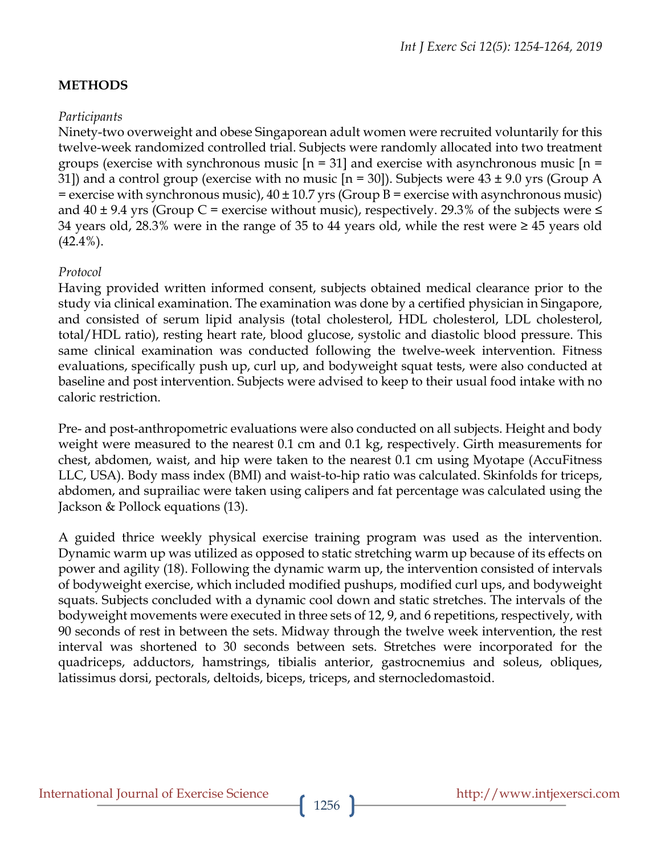## **METHODS**

### *Participants*

Ninety-two overweight and obese Singaporean adult women were recruited voluntarily for this twelve-week randomized controlled trial. Subjects were randomly allocated into two treatment groups (exercise with synchronous music  $[n = 31]$  and exercise with asynchronous music  $[n = 1]$ 31]) and a control group (exercise with no music  $[n = 30]$ ). Subjects were  $43 \pm 9.0$  yrs (Group A  $=$  exercise with synchronous music),  $40 \pm 10.7$  yrs (Group B = exercise with asynchronous music) and  $40 \pm 9.4$  yrs (Group C = exercise without music), respectively. 29.3% of the subjects were  $\leq$ 34 years old, 28.3% were in the range of 35 to 44 years old, while the rest were ≥ 45 years old  $(42.4\%)$ .

#### *Protocol*

Having provided written informed consent, subjects obtained medical clearance prior to the study via clinical examination. The examination was done by a certified physician in Singapore, and consisted of serum lipid analysis (total cholesterol, HDL cholesterol, LDL cholesterol, total/HDL ratio), resting heart rate, blood glucose, systolic and diastolic blood pressure. This same clinical examination was conducted following the twelve-week intervention. Fitness evaluations, specifically push up, curl up, and bodyweight squat tests, were also conducted at baseline and post intervention. Subjects were advised to keep to their usual food intake with no caloric restriction.

Pre- and post-anthropometric evaluations were also conducted on all subjects. Height and body weight were measured to the nearest 0.1 cm and 0.1 kg, respectively. Girth measurements for chest, abdomen, waist, and hip were taken to the nearest 0.1 cm using Myotape (AccuFitness LLC, USA). Body mass index (BMI) and waist-to-hip ratio was calculated. Skinfolds for triceps, abdomen, and suprailiac were taken using calipers and fat percentage was calculated using the Jackson & Pollock equations (13).

A guided thrice weekly physical exercise training program was used as the intervention. Dynamic warm up was utilized as opposed to static stretching warm up because of its effects on power and agility (18). Following the dynamic warm up, the intervention consisted of intervals of bodyweight exercise, which included modified pushups, modified curl ups, and bodyweight squats. Subjects concluded with a dynamic cool down and static stretches. The intervals of the bodyweight movements were executed in three sets of 12, 9, and 6 repetitions, respectively, with 90 seconds of rest in between the sets. Midway through the twelve week intervention, the rest interval was shortened to 30 seconds between sets. Stretches were incorporated for the quadriceps, adductors, hamstrings, tibialis anterior, gastrocnemius and soleus, obliques, latissimus dorsi, pectorals, deltoids, biceps, triceps, and sternocledomastoid.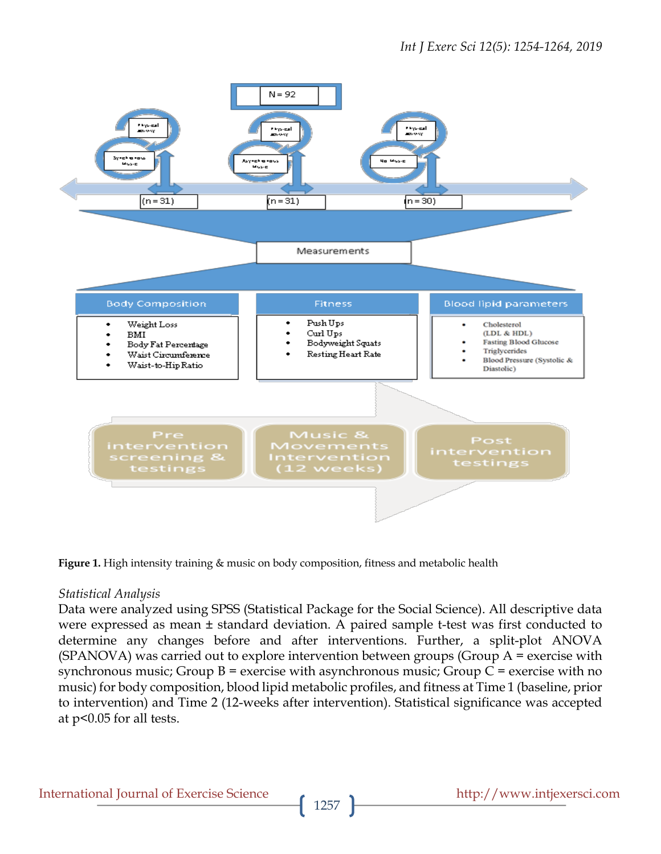

**Figure 1.** High intensity training & music on body composition, fitness and metabolic health

#### *Statistical Analysis*

Data were analyzed using SPSS (Statistical Package for the Social Science). All descriptive data were expressed as mean ± standard deviation. A paired sample t-test was first conducted to determine any changes before and after interventions. Further, a split-plot ANOVA (SPANOVA) was carried out to explore intervention between groups (Group A = exercise with synchronous music; Group  $B$  = exercise with asynchronous music; Group  $C$  = exercise with no music) for body composition, blood lipid metabolic profiles, and fitness at Time 1 (baseline, prior to intervention) and Time 2 (12-weeks after intervention). Statistical significance was accepted at p<0.05 for all tests.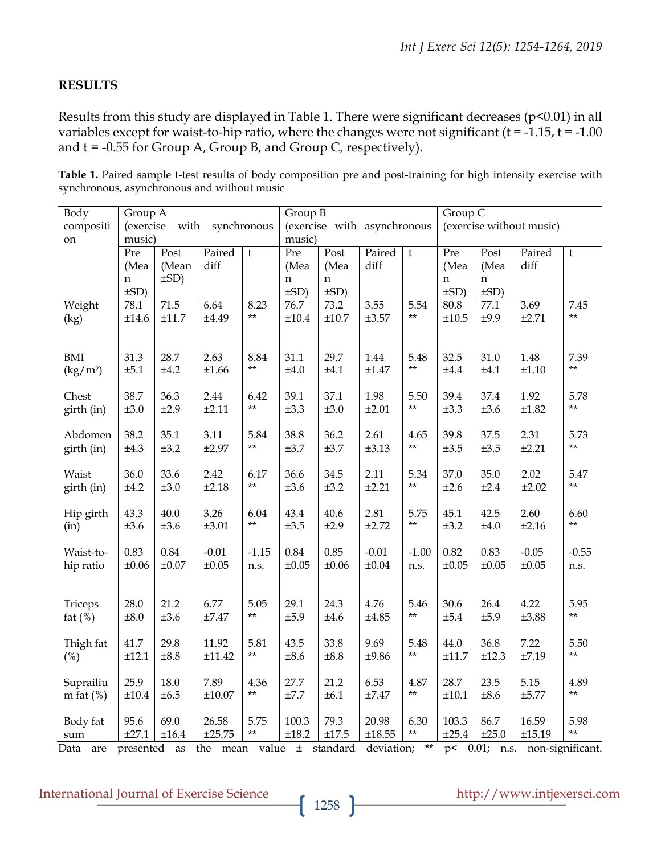#### **RESULTS**

Results from this study are displayed in Table 1. There were significant decreases (p<0.01) in all variables except for waist-to-hip ratio, where the changes were not significant ( $t = -1.15$ ,  $t = -1.00$ and  $t = -0.55$  for Group A, Group B, and Group C, respectively).

| Table 1. Paired sample t-test results of body composition pre and post-training for high intensity exercise with |  |  |  |
|------------------------------------------------------------------------------------------------------------------|--|--|--|
| synchronous, asynchronous and without music                                                                      |  |  |  |

| Body                                        | Group A                    |            |                           | Group B              |                             |            |            | Group C       |                          |            |            |                  |
|---------------------------------------------|----------------------------|------------|---------------------------|----------------------|-----------------------------|------------|------------|---------------|--------------------------|------------|------------|------------------|
| compositi                                   | (exercise with synchronous |            |                           |                      | (exercise with asynchronous |            |            |               | (exercise without music) |            |            |                  |
| on                                          | music)                     |            |                           | music)               |                             |            |            |               |                          |            |            |                  |
|                                             | Pre                        | Post       | Paired                    | $\mathfrak{t}$       | Pre                         | Post       | Paired     | $\mathfrak t$ | $\overline{\text{Pre}}$  | Post       | Paired     | $\mathsf t$      |
|                                             | (Mea                       | (Mean      | diff                      |                      | (Mea                        | (Mea       | diff       |               | (Mea                     | (Mea       | diff       |                  |
|                                             | n                          | $\pm SD$ ) |                           |                      | n                           | n          |            |               | n                        | n          |            |                  |
|                                             | $\pm SD$ )                 |            |                           |                      | $\pm SD$ )                  | $\pm SD$ ) |            |               | $\pm SD$ )               | $\pm SD$ ) |            |                  |
| Weight                                      | 78.1                       | 71.5       | 6.64                      | 8.23                 | 76.7                        | 73.2       | 3.55       | 5.54          | 80.8                     | 77.1       | 3.69       | 7.45             |
| (kg)                                        | ±14.6                      | ±11.7      | ±4.49                     | $***$                | $\pm 10.4$                  | ±10.7      | ±3.57      | $**$          | ±10.5                    | ±9.9       | ±2.71      | $***$            |
|                                             |                            |            |                           |                      |                             |            |            |               |                          |            |            |                  |
| BMI                                         | 31.3                       | 28.7       | 2.63                      | 8.84                 | 31.1                        | 29.7       | 1.44       | 5.48          | 32.5                     | 31.0       | 1.48       | 7.39             |
| $\left(\frac{\text{kg}}{\text{m}^2}\right)$ | ±5.1                       | ±4.2       | ±1.66                     | $**$                 | ±4.0                        | ±4.1       | $\pm 1.47$ | $**$          | $\pm 4.4$                | ±4.1       | ±1.10      | $**$             |
|                                             |                            |            |                           |                      |                             |            |            |               |                          |            |            |                  |
| Chest                                       | 38.7                       | 36.3       | 2.44                      | 6.42                 | 39.1                        | 37.1       | 1.98       | 5.50          | 39.4                     | 37.4       | 1.92       | 5.78             |
| girth (in)                                  | ±3.0                       | ±2.9       | ±2.11                     | $**$                 | ±3.3                        | ±3.0       | ±2.01      | $**$          | ±3.3                     | ±3.6       | ±1.82      | $**$             |
|                                             |                            |            |                           |                      |                             |            |            |               |                          |            |            |                  |
| Abdomen                                     | 38.2                       | 35.1       | 3.11                      | 5.84                 | 38.8                        | 36.2       | 2.61       | 4.65          | 39.8                     | 37.5       | 2.31       | 5.73             |
| girth (in)                                  | ±4.3                       | ±3.2       | ±2.97                     | $**$                 | ±3.7                        | ±3.7       | ±3.13      | $**$          | ±3.5                     | ±3.5       | ±2.21      | $**$             |
|                                             |                            |            |                           |                      |                             |            |            |               |                          |            |            |                  |
| Waist                                       | 36.0                       | 33.6       | 2.42                      | 6.17                 | 36.6                        | 34.5       | 2.11       | 5.34          | 37.0                     | 35.0       | 2.02       | 5.47             |
| girth (in)                                  | ±4.2                       | ±3.0       | ±2.18                     | $**$                 | ±3.6                        | ±3.2       | ±2.21      | $**$          | ±2.6                     | ±2.4       | ±2.02      | $**$             |
|                                             |                            |            |                           |                      |                             |            |            |               |                          |            |            |                  |
| Hip girth                                   | 43.3                       | 40.0       | 3.26                      | 6.04<br>$\star\star$ | 43.4                        | 40.6       | 2.81       | 5.75<br>$**$  | 45.1                     | 42.5       | 2.60       | 6.60<br>$**$     |
| (in)                                        | ±3.6                       | ±3.6       | ±3.01                     |                      | $\pm 3.5$                   | ±2.9       | ±2.72      |               | ±3.2                     | ±4.0       | ±2.16      |                  |
| Waist-to-                                   | 0.83                       | 0.84       | $-0.01$                   | $-1.15$              | 0.84                        | 0.85       | $-0.01$    | $-1.00$       | 0.82                     | 0.83       | $-0.05$    | $-0.55$          |
| hip ratio                                   | $\pm 0.06$                 | $\pm 0.07$ | $\pm 0.05$                | n.s.                 | $\pm 0.05$                  | ±0.06      | ±0.04      | n.s.          | ±0.05                    | ±0.05      | $\pm 0.05$ | n.s.             |
|                                             |                            |            |                           |                      |                             |            |            |               |                          |            |            |                  |
|                                             |                            |            |                           |                      |                             |            |            |               |                          |            |            |                  |
| Triceps                                     | 28.0                       | 21.2       | 6.77                      | 5.05                 | 29.1                        | 24.3       | 4.76       | 5.46          | 30.6                     | 26.4       | 4.22       | 5.95             |
| fat $(\%)$                                  | ±8.0                       | ±3.6       | ±7.47                     | $***$                | ±5.9                        | ±4.6       | ±4.85      | $**$          | ±5.4                     | ±5.9       | ±3.88      | $**$             |
|                                             |                            |            |                           |                      |                             |            |            |               |                          |            |            |                  |
| Thigh fat                                   | 41.7                       | 29.8       | 11.92                     | 5.81                 | 43.5                        | 33.8       | 9.69       | 5.48          | 44.0                     | 36.8       | 7.22       | 5.50             |
| (%)                                         | ±12.1                      | $\pm 8.8$  | ±11.42                    | $**$                 | ±8.6                        | ±8.8       | ±9.86      | $**$          | ±11.7                    | ±12.3      | ±7.19      | $**$             |
|                                             |                            |            |                           |                      |                             |            |            |               |                          |            |            |                  |
| Suprailiu                                   | 25.9                       | 18.0       | 7.89                      | 4.36<br>$***$        | 27.7                        | 21.2       | 6.53       | 4.87<br>$**$  | 28.7                     | 23.5       | 5.15       | 4.89<br>$**$     |
| m fat $(\%)$                                | ±10.4                      | ±6.5       | ±10.07                    |                      | ±7.7                        | ±6.1       | $\pm 7.47$ |               | ±10.1                    | ±8.6       | ±5.77      |                  |
| Body fat                                    | 95.6                       | 69.0       | 26.58                     | 5.75                 | 100.3                       | 79.3       | 20.98      | 6.30          | 103.3                    | 86.7       | 16.59      | 5.98             |
| sum                                         | ±27.1                      | $\pm 16.4$ | ±25.75                    | $***$                | ±18.2                       | ±17.5      | ±18.55     | $**$          | ±25.4                    | ±25.0      | ±15.19     | $***$            |
| Data<br>are                                 | presented                  | as         | the mean value ± standard |                      |                             |            | deviation; | $***$         | p< 0.01;                 | n.s.       |            | non-significant. |

# International Journal of Exercise Science http://www.intjexersci.com http://www.intjexersci.com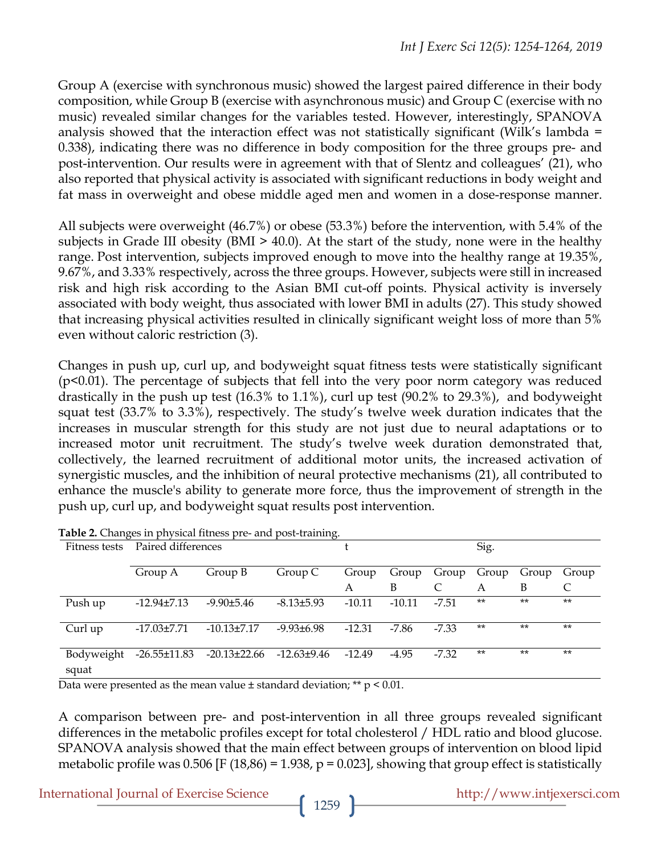Group A (exercise with synchronous music) showed the largest paired difference in their body composition, while Group B (exercise with asynchronous music) and Group C (exercise with no music) revealed similar changes for the variables tested. However, interestingly, SPANOVA analysis showed that the interaction effect was not statistically significant (Wilk's lambda = 0.338), indicating there was no difference in body composition for the three groups pre- and post-intervention. Our results were in agreement with that of Slentz and colleagues' (21), who also reported that physical activity is associated with significant reductions in body weight and fat mass in overweight and obese middle aged men and women in a dose-response manner.

All subjects were overweight (46.7%) or obese (53.3%) before the intervention, with 5.4% of the subjects in Grade III obesity (BMI > 40.0). At the start of the study, none were in the healthy range. Post intervention, subjects improved enough to move into the healthy range at 19.35%, 9.67%, and 3.33% respectively, across the three groups. However, subjects were still in increased risk and high risk according to the Asian BMI cut-off points. Physical activity is inversely associated with body weight, thus associated with lower BMI in adults (27). This study showed that increasing physical activities resulted in clinically significant weight loss of more than 5% even without caloric restriction (3).

Changes in push up, curl up, and bodyweight squat fitness tests were statistically significant (p<0.01). The percentage of subjects that fell into the very poor norm category was reduced drastically in the push up test (16.3% to 1.1%), curl up test (90.2% to 29.3%), and bodyweight squat test (33.7% to 3.3%), respectively. The study's twelve week duration indicates that the increases in muscular strength for this study are not just due to neural adaptations or to increased motor unit recruitment. The study's twelve week duration demonstrated that, collectively, the learned recruitment of additional motor units, the increased activation of synergistic muscles, and the inhibition of neural protective mechanisms (21), all contributed to enhance the muscle's ability to generate more force, thus the improvement of strength in the push up, curl up, and bodyweight squat results post intervention.

| Fitness tests       | Paired differences |                   |                 |          |          | Sig.        |       |       |       |
|---------------------|--------------------|-------------------|-----------------|----------|----------|-------------|-------|-------|-------|
|                     | Group A            | Group B           | Group C         | Group    | Group    | Group Group |       | Group | Group |
|                     |                    |                   |                 | A        | B        |             | А     | B     | C     |
| Push up             | $-12.94\pm7.13$    | $-9.90\pm5.46$    | $-8.13\pm5.93$  | $-10.11$ | $-10.11$ | $-7.51$     | $***$ | $***$ | $**$  |
| Curl up             | $-17.03 \pm 7.71$  | $-10.13 \pm 7.17$ | $-9.93\pm 6.98$ | $-12.31$ | -7.86    | $-7.33$     | $***$ | $**$  | $***$ |
| Bodyweight<br>squat | $-26.55 \pm 11.83$ | $-20.13\pm 22.66$ | $-12.63\pm9.46$ | -12.49   | $-4.95$  | $-7.32$     | $***$ | $**$  | $**$  |

**Table 2.** Changes in physical fitness pre- and post-training.

Data were presented as the mean value  $\pm$  standard deviation; \*\*  $p < 0.01$ .

A comparison between pre- and post-intervention in all three groups revealed significant differences in the metabolic profiles except for total cholesterol / HDL ratio and blood glucose. SPANOVA analysis showed that the main effect between groups of intervention on blood lipid metabolic profile was 0.506 [F (18,86) = 1.938, p = 0.023], showing that group effect is statistically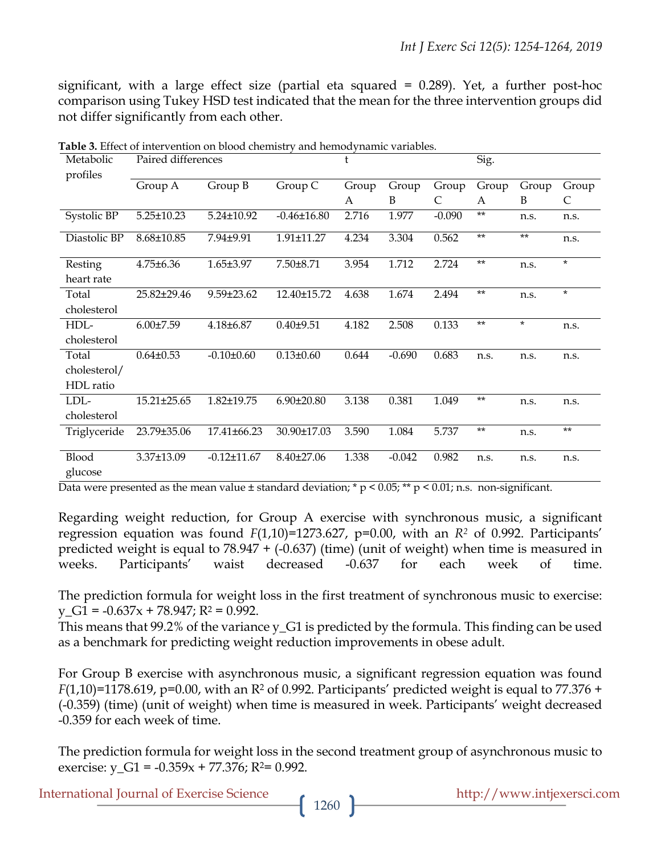significant, with a large effect size (partial eta squared = 0.289). Yet, a further post-hoc comparison using Tukey HSD test indicated that the mean for the three intervention groups did not differ significantly from each other.

| Metabolic<br>profiles   |                   | t                 |                   | Sig.  |          |          |       |         |         |
|-------------------------|-------------------|-------------------|-------------------|-------|----------|----------|-------|---------|---------|
|                         | Group A           | Group B           | Group C           | Group | Group    | Group    | Group | Group   | Group   |
|                         |                   |                   |                   | A     | B        | C        | A     | B       | C       |
| Systolic BP             | $5.25 \pm 10.23$  | 5.24±10.92        | $-0.46 \pm 16.80$ | 2.716 | 1.977    | $-0.090$ | $***$ | n.s.    | n.s.    |
| Diastolic BP            | 8.68±10.85        | 7.94±9.91         | 1.91±11.27        | 4.234 | 3.304    | 0.562    | $**$  | $***$   | n.s.    |
| Resting                 | $4.75 \pm 6.36$   | $1.65 \pm 3.97$   | 7.50±8.71         | 3.954 | 1.712    | 2.724    | $***$ | n.s.    | $\ast$  |
| heart rate              |                   |                   |                   |       |          |          |       |         |         |
| Total                   | 25.82±29.46       | $9.59 \pm 23.62$  | 12.40±15.72       | 4.638 | 1.674    | 2.494    | $***$ | n.s.    | $\star$ |
| cholesterol             |                   |                   |                   |       |          |          |       |         |         |
| HDL-                    | $6.00 \pm 7.59$   | $4.18 + 6.87$     | $0.40 + 9.51$     | 4.182 | 2.508    | 0.133    | $**$  | $\star$ | n.s.    |
| cholesterol             |                   |                   |                   |       |          |          |       |         |         |
| Total                   | $0.64 \pm 0.53$   | $-0.10 \pm 0.60$  | $0.13 \pm 0.60$   | 0.644 | $-0.690$ | 0.683    | n.s.  | n.s.    | n.s.    |
| cholesterol/            |                   |                   |                   |       |          |          |       |         |         |
| HDL ratio               |                   |                   |                   |       |          |          |       |         |         |
| LDL-                    | $15.21 \pm 25.65$ | $1.82 \pm 19.75$  | $6.90 \pm 20.80$  | 3.138 | 0.381    | 1.049    | $***$ | n.s.    | n.s.    |
| cholesterol             |                   |                   |                   |       |          |          |       |         |         |
| Triglyceride            | 23.79±35.06       | 17.41±66.23       | 30.90±17.03       | 3.590 | 1.084    | 5.737    | $***$ | n.s.    | $**$    |
| <b>Blood</b><br>glucose | 3.37±13.09        | $-0.12 \pm 11.67$ | $8.40 \pm 27.06$  | 1.338 | $-0.042$ | 0.982    | n.s.  | n.s.    | n.s.    |

**Table 3.** Effect of intervention on blood chemistry and hemodynamic variables.

Data were presented as the mean value  $\pm$  standard deviation; \* p < 0.05; \*\* p < 0.01; n.s. non-significant.

Regarding weight reduction, for Group A exercise with synchronous music, a significant regression equation was found *F*(1,10)=1273.627, p=0.00, with an *R2* of 0.992. Participants' predicted weight is equal to 78.947 + (-0.637) (time) (unit of weight) when time is measured in weeks. Participants' waist decreased -0.637 for each week of time.

The prediction formula for weight loss in the first treatment of synchronous music to exercise:  $y_{\text{B}}G1 = -0.637x + 78.947; R^2 = 0.992.$ 

This means that 99.2% of the variance y\_G1 is predicted by the formula. This finding can be used as a benchmark for predicting weight reduction improvements in obese adult.

For Group B exercise with asynchronous music, a significant regression equation was found *F*(1,10)=1178.619, p=0.00, with an R<sup>2</sup> of 0.992. Participants' predicted weight is equal to 77.376 + (-0.359) (time) (unit of weight) when time is measured in week. Participants' weight decreased -0.359 for each week of time.

The prediction formula for weight loss in the second treatment group of asynchronous music to exercise:  $y_{\text{G}} = -0.359x + 77.376$ ; R<sup>2</sup>= 0.992.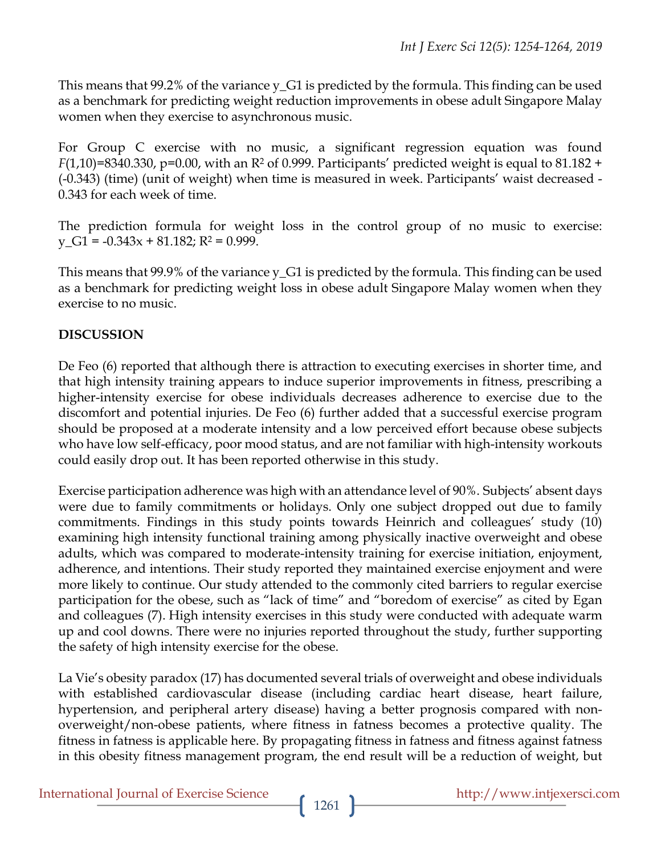This means that 99.2% of the variance y\_G1 is predicted by the formula. This finding can be used as a benchmark for predicting weight reduction improvements in obese adult Singapore Malay women when they exercise to asynchronous music.

For Group C exercise with no music, a significant regression equation was found *F*(1,10)=8340.330, p=0.00, with an R<sup>2</sup> of 0.999. Participants' predicted weight is equal to 81.182 + (-0.343) (time) (unit of weight) when time is measured in week. Participants' waist decreased - 0.343 for each week of time.

The prediction formula for weight loss in the control group of no music to exercise:  $y_{\text{I}}$ G1 = -0.343x + 81.182; R<sup>2</sup> = 0.999.

This means that 99.9% of the variance y\_G1 is predicted by the formula. This finding can be used as a benchmark for predicting weight loss in obese adult Singapore Malay women when they exercise to no music.

## **DISCUSSION**

De Feo (6) reported that although there is attraction to executing exercises in shorter time, and that high intensity training appears to induce superior improvements in fitness, prescribing a higher-intensity exercise for obese individuals decreases adherence to exercise due to the discomfort and potential injuries. De Feo (6) further added that a successful exercise program should be proposed at a moderate intensity and a low perceived effort because obese subjects who have low self-efficacy, poor mood status, and are not familiar with high-intensity workouts could easily drop out. It has been reported otherwise in this study.

Exercise participation adherence was high with an attendance level of 90%. Subjects' absent days were due to family commitments or holidays. Only one subject dropped out due to family commitments. Findings in this study points towards Heinrich and colleagues' study (10) examining high intensity functional training among physically inactive overweight and obese adults, which was compared to moderate-intensity training for exercise initiation, enjoyment, adherence, and intentions. Their study reported they maintained exercise enjoyment and were more likely to continue. Our study attended to the commonly cited barriers to regular exercise participation for the obese, such as "lack of time" and "boredom of exercise" as cited by Egan and colleagues (7). High intensity exercises in this study were conducted with adequate warm up and cool downs. There were no injuries reported throughout the study, further supporting the safety of high intensity exercise for the obese.

La Vie's obesity paradox (17) has documented several trials of overweight and obese individuals with established cardiovascular disease (including cardiac heart disease, heart failure, hypertension, and peripheral artery disease) having a better prognosis compared with nonoverweight/non-obese patients, where fitness in fatness becomes a protective quality. The fitness in fatness is applicable here. By propagating fitness in fatness and fitness against fatness in this obesity fitness management program, the end result will be a reduction of weight, but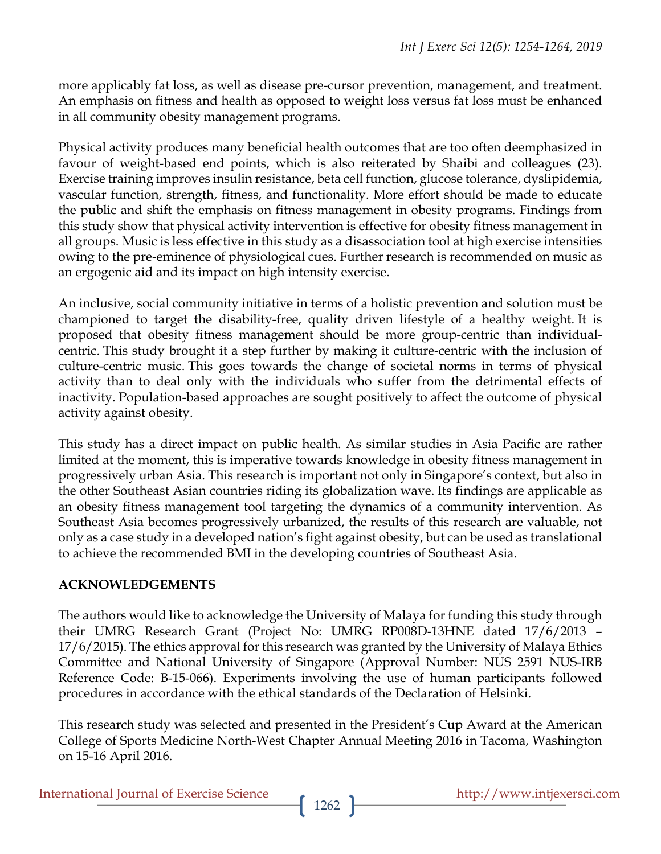more applicably fat loss, as well as disease pre-cursor prevention, management, and treatment. An emphasis on fitness and health as opposed to weight loss versus fat loss must be enhanced in all community obesity management programs.

Physical activity produces many beneficial health outcomes that are too often deemphasized in favour of weight-based end points, which is also reiterated by Shaibi and colleagues (23). Exercise training improves insulin resistance, beta cell function, glucose tolerance, dyslipidemia, vascular function, strength, fitness, and functionality. More effort should be made to educate the public and shift the emphasis on fitness management in obesity programs. Findings from this study show that physical activity intervention is effective for obesity fitness management in all groups. Music is less effective in this study as a disassociation tool at high exercise intensities owing to the pre-eminence of physiological cues. Further research is recommended on music as an ergogenic aid and its impact on high intensity exercise.

An inclusive, social community initiative in terms of a holistic prevention and solution must be championed to target the disability-free, quality driven lifestyle of a healthy weight. It is proposed that obesity fitness management should be more group-centric than individualcentric. This study brought it a step further by making it culture-centric with the inclusion of culture-centric music. This goes towards the change of societal norms in terms of physical activity than to deal only with the individuals who suffer from the detrimental effects of inactivity. Population-based approaches are sought positively to affect the outcome of physical activity against obesity.

This study has a direct impact on public health. As similar studies in Asia Pacific are rather limited at the moment, this is imperative towards knowledge in obesity fitness management in progressively urban Asia. This research is important not only in Singapore's context, but also in the other Southeast Asian countries riding its globalization wave. Its findings are applicable as an obesity fitness management tool targeting the dynamics of a community intervention. As Southeast Asia becomes progressively urbanized, the results of this research are valuable, not only as a case study in a developed nation's fight against obesity, but can be used as translational to achieve the recommended BMI in the developing countries of Southeast Asia.

## **ACKNOWLEDGEMENTS**

The authors would like to acknowledge the University of Malaya for funding this study through their UMRG Research Grant (Project No: UMRG RP008D-13HNE dated 17/6/2013 – 17/6/2015). The ethics approval for this research was granted by the University of Malaya Ethics Committee and National University of Singapore (Approval Number: NUS 2591 NUS-IRB Reference Code: B-15-066). Experiments involving the use of human participants followed procedures in accordance with the ethical standards of the Declaration of Helsinki.

This research study was selected and presented in the President's Cup Award at the American College of Sports Medicine North-West Chapter Annual Meeting 2016 in Tacoma, Washington on 15-16 April 2016.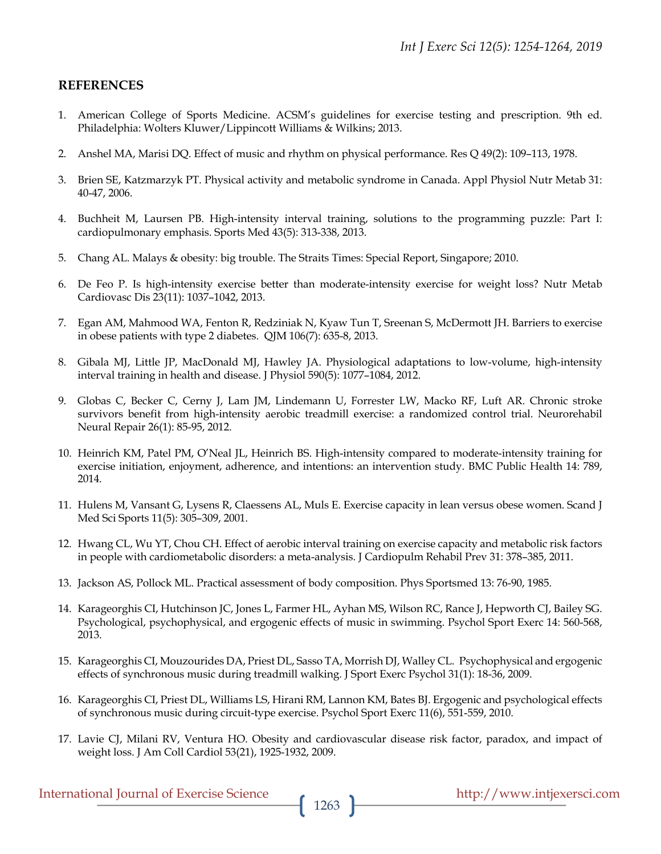#### **REFERENCES**

- 1. American College of Sports Medicine. ACSM's guidelines for exercise testing and prescription. 9th ed. Philadelphia: Wolters Kluwer/Lippincott Williams & Wilkins; 2013.
- 2. Anshel MA, Marisi DQ. Effect of music and rhythm on physical performance. Res Q 49(2): 109–113, 1978.
- 3. Brien SE, Katzmarzyk PT. Physical activity and metabolic syndrome in Canada. Appl Physiol Nutr Metab 31: 40-47, 2006.
- 4. Buchheit M, Laursen PB. High-intensity interval training, solutions to the programming puzzle: Part I: cardiopulmonary emphasis. Sports Med 43(5): 313-338, 2013.
- 5. Chang AL. Malays & obesity: big trouble. The Straits Times: Special Report, Singapore; 2010.
- 6. De Feo P. Is high-intensity exercise better than moderate-intensity exercise for weight loss? Nutr Metab Cardiovasc Dis 23(11): 1037–1042, 2013.
- 7. Egan AM, Mahmood WA, Fenton R, Redziniak N, Kyaw Tun T, Sreenan S, McDermott JH. Barriers to exercise in obese patients with type 2 diabetes. QJM 106(7): 635-8, 2013.
- 8. Gibala MJ, Little JP, MacDonald MJ, Hawley JA. Physiological adaptations to low-volume, high-intensity interval training in health and disease. J Physiol 590(5): 1077–1084, 2012.
- 9. Globas C, Becker C, Cerny J, Lam JM, Lindemann U, Forrester LW, Macko RF, Luft AR. Chronic stroke survivors benefit from high-intensity aerobic treadmill exercise: a randomized control trial. Neurorehabil Neural Repair 26(1): 85-95, 2012.
- 10. Heinrich KM, Patel PM, O'Neal JL, Heinrich BS. High-intensity compared to moderate-intensity training for exercise initiation, enjoyment, adherence, and intentions: an intervention study. BMC Public Health 14: 789, 2014.
- 11. Hulens M, Vansant G, Lysens R, Claessens AL, Muls E. Exercise capacity in lean versus obese women. Scand J Med Sci Sports 11(5): 305–309, 2001.
- 12. Hwang CL, Wu YT, Chou CH. Effect of aerobic interval training on exercise capacity and metabolic risk factors in people with cardiometabolic disorders: a meta-analysis. J Cardiopulm Rehabil Prev 31: 378–385, 2011.
- 13. Jackson AS, Pollock ML. Practical assessment of body composition. Phys Sportsmed 13: 76-90, 1985.
- 14. Karageorghis CI, Hutchinson JC, Jones L, Farmer HL, Ayhan MS, Wilson RC, Rance J, Hepworth CJ, Bailey SG. Psychological, psychophysical, and ergogenic effects of music in swimming. Psychol Sport Exerc 14: 560-568, 2013.
- 15. Karageorghis CI, Mouzourides DA, Priest DL, Sasso TA, Morrish DJ, Walley CL. Psychophysical and ergogenic effects of synchronous music during treadmill walking. J Sport Exerc Psychol 31(1): 18-36, 2009.
- 16. Karageorghis CI, Priest DL, Williams LS, Hirani RM, Lannon KM, Bates BJ. Ergogenic and psychological effects of synchronous music during circuit-type exercise. Psychol Sport Exerc 11(6), 551-559, 2010.
- 17. Lavie CJ, Milani RV, Ventura HO. Obesity and cardiovascular disease risk factor, paradox, and impact of weight loss. J Am Coll Cardiol 53(21), 1925-1932, 2009.